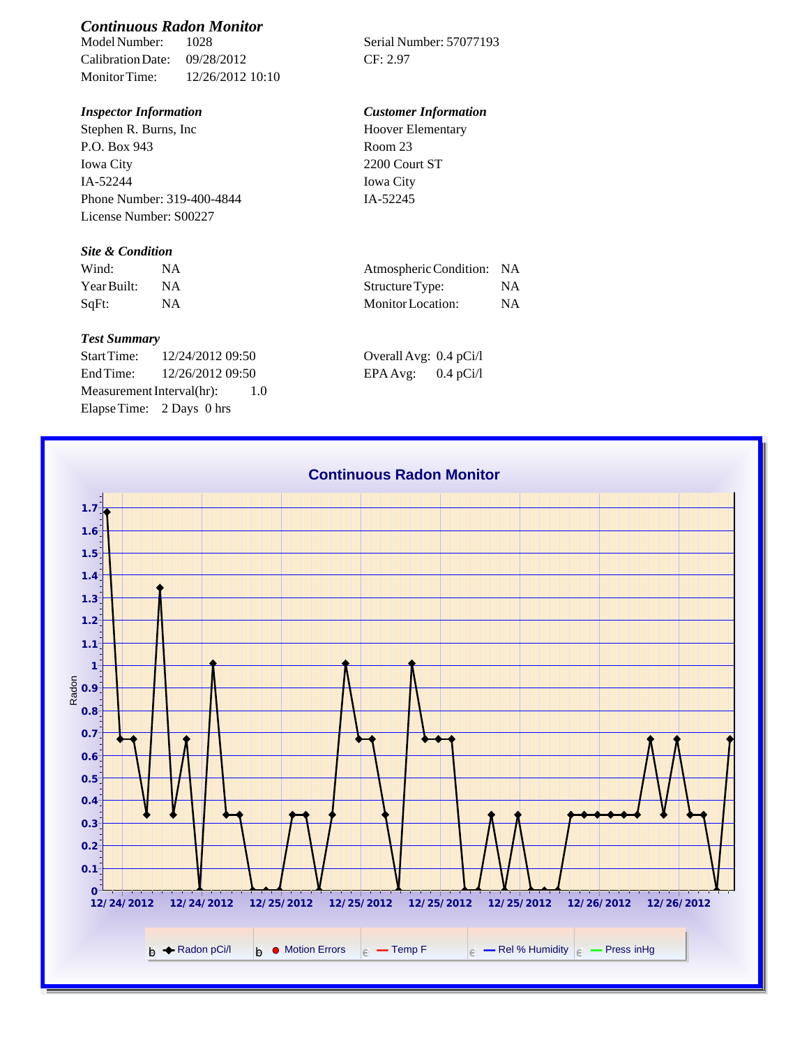# *Continuous Radon Monitor*

Calibration Date: 09/28/2012 CF: 2.97 Monitor Time: 12/26/2012 10:10

Stephen R. Burns, Inc P.O. Box 943 Iowa City IA-52244 Phone Number: 319-400-4844 License Number: S00227

## *Site & Condition*

| Wind:       | <b>NA</b> |
|-------------|-----------|
| Year Built: | N A       |
| SqFt:       | <b>NA</b> |

#### *Test Summary*

Start Time: 12/24/2012 09:50 Overall Avg: 0.4 pCi/l End Time: 12/26/2012 09:50 EPA Avg: 0.4 pCi/l Measurement Interval(hr): 1.0 Elapse Time: 2 Days 0 hrs

Serial Number: 57077193

## *Inspector Information Customer Information*

Hoover Elementary Room 23 2200 Court ST Iowa City IA-52245

| Wind:       | Atmospheric Condition: NA |    |
|-------------|---------------------------|----|
| Year Built: | Structure Type:           | ΝA |
| SqFt:       | Monitor Location:         | ΝA |

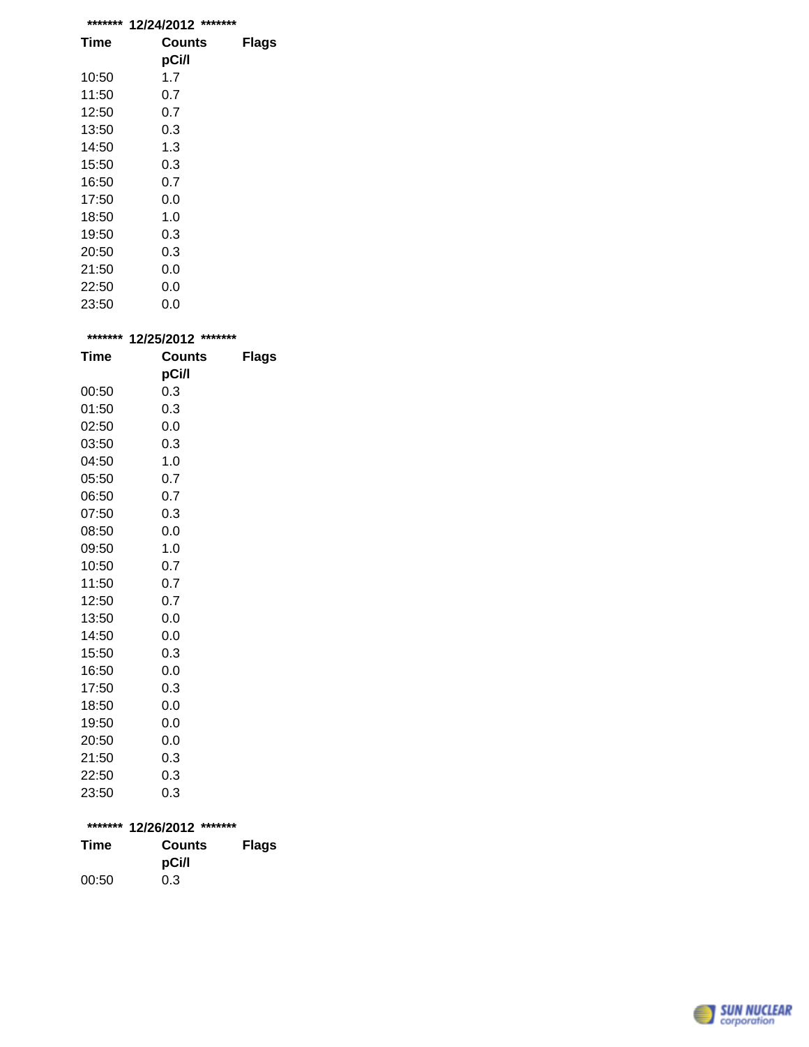| ******* | *******<br>12/24/2012 |              |
|---------|-----------------------|--------------|
| Time    | Counts                | <b>Flags</b> |
|         | pCi/l                 |              |
| 10:50   | 1.7                   |              |
| 11:50   | 0.7                   |              |
| 12:50   | 0.7                   |              |
| 13:50   | 0.3                   |              |
| 14:50   | 1.3                   |              |
| 15:50   | 0.3                   |              |
| 16:50   | 0.7                   |              |
| 17:50   | 0.0                   |              |
| 18:50   | 1.0                   |              |
| 19:50   | 0.3                   |              |
| 20:50   | 0.3                   |              |
| 21:50   | 0.0                   |              |
| 22:50   | 0.0                   |              |
| 23:50   | 0.0                   |              |

| ******* | 12/25/2012 ******* |              |
|---------|--------------------|--------------|
| Time    | <b>Counts</b>      | <b>Flags</b> |
|         | pCi/l              |              |
| 00:50   | 0.3                |              |
| 01:50   | 0.3                |              |
| 02:50   | 0.0                |              |
| 03:50   | 0.3                |              |
| 04:50   | 1.0                |              |
| 05:50   | 0.7                |              |
| 06:50   | 0.7                |              |
| 07:50   | 0.3                |              |
| 08:50   | 0.0                |              |
| 09:50   | 1.0                |              |
| 10:50   | 0.7                |              |
| 11:50   | 0.7                |              |
| 12:50   | 0.7                |              |
| 13:50   | 0.0                |              |
| 14:50   | 0.0                |              |
| 15:50   | 0.3                |              |
| 16:50   | 0.0                |              |
| 17:50   | 0.3                |              |
| 18:50   | 0.0                |              |
| 19:50   | 0.0                |              |
| 20:50   | 0.0                |              |
| 21:50   | 0.3                |              |
| 22:50   | 0.3                |              |
| 23:50   | 0.3                |              |

| ******* 12/26/2012 ******* |        |              |  |
|----------------------------|--------|--------------|--|
| Time                       | Counts | <b>Flags</b> |  |
|                            | pCi/l  |              |  |
| 00:50                      | 0.3    |              |  |